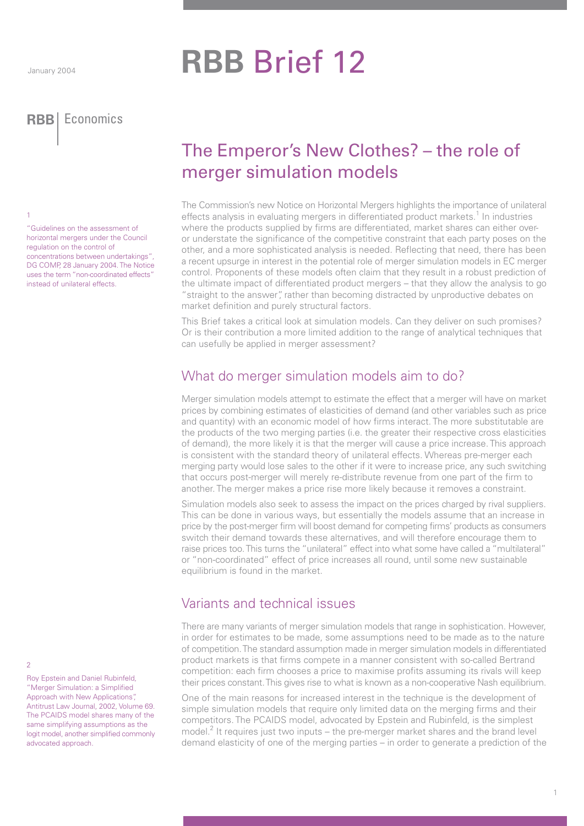**RBB** Brief 12

**RBB** Economics **RBB** Economics

1

"Guidelines on the assessment of horizontal mergers under the Council regulation on the control of concentrations between undertakings", DG COMP, 28 January 2004. The Notice uses the term "non-coordinated effects" instead of unilateral effects.

# The Emperor's New Clothes? – the role of merger simulation models

The Commission's new Notice on Horizontal Mergers highlights the importance of unilateral effects analysis in evaluating mergers in differentiated product markets.<sup>1</sup> In industries where the products supplied by firms are differentiated, market shares can either overor understate the significance of the competitive constraint that each party poses on the other, and a more sophisticated analysis is needed. Reflecting that need, there has been a recent upsurge in interest in the potential role of merger simulation models in EC merger control. Proponents of these models often claim that they result in a robust prediction of the ultimate impact of differentiated product mergers – that they allow the analysis to go "straight to the answer", rather than becoming distracted by unproductive debates on market definition and purely structural factors.

This Brief takes a critical look at simulation models. Can they deliver on such promises? Or is their contribution a more limited addition to the range of analytical techniques that can usefully be applied in merger assessment?

## What do merger simulation models aim to do?

Merger simulation models attempt to estimate the effect that a merger will have on market prices by combining estimates of elasticities of demand (and other variables such as price and quantity) with an economic model of how firms interact. The more substitutable are the products of the two merging parties (i.e. the greater their respective cross elasticities of demand), the more likely it is that the merger will cause a price increase. This approach is consistent with the standard theory of unilateral effects. Whereas pre-merger each merging party would lose sales to the other if it were to increase price, any such switching that occurs post-merger will merely re-distribute revenue from one part of the firm to another. The merger makes a price rise more likely because it removes a constraint.

Simulation models also seek to assess the impact on the prices charged by rival suppliers. This can be done in various ways, but essentially the models assume that an increase in price by the post-merger firm will boost demand for competing firms' products as consumers switch their demand towards these alternatives, and will therefore encourage them to raise prices too. This turns the "unilateral" effect into what some have called a "multilateral" or "non-coordinated" effect of price increases all round, until some new sustainable equilibrium is found in the market.

# Variants and technical issues

There are many variants of merger simulation models that range in sophistication. However, in order for estimates to be made, some assumptions need to be made as to the nature of competition. The standard assumption made in merger simulation models in differentiated product markets is that firms compete in a manner consistent with so-called Bertrand competition: each firm chooses a price to maximise profits assuming its rivals will keep their prices constant. This gives rise to what is known as a non-cooperative Nash equilibrium.

One of the main reasons for increased interest in the technique is the development of simple simulation models that require only limited data on the merging firms and their competitors. The PCAIDS model, advocated by Epstein and Rubinfeld, is the simplest model.<sup>2</sup> It requires just two inputs – the pre-merger market shares and the brand level demand elasticity of one of the merging parties – in order to generate a prediction of the

 $\mathcal{D}$ 

Roy Epstein and Daniel Rubinfeld, "Merger Simulation: a Simplified Approach with New Applications", Antitrust Law Journal, 2002, Volume 69. The PCAIDS model shares many of the same simplifying assumptions as the logit model, another simplified commonly advocated approach.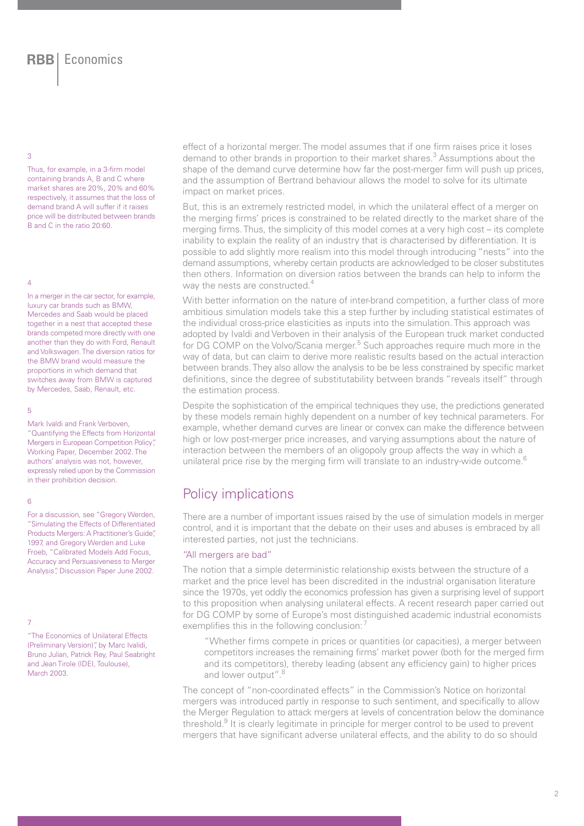### 3

Thus, for example, in a 3-firm model containing brands A, B and C where market shares are 20%, 20% and 60% respectively, it assumes that the loss of demand brand A will suffer if it raises price will be distributed between brands B and C in the ratio 20:60.

### 4

In a merger in the car sector, for example, luxury car brands such as BMW, Mercedes and Saab would be placed together in a nest that accepted these brands competed more directly with one another than they do with Ford, Renault and Volkswagen. The diversion ratios for the BMW brand would measure the proportions in which demand that switches away from BMW is captured by Mercedes, Saab, Renault, etc.

### 5

Mark Ivaldi and Frank Verboven,

"Quantifying the Effects from Horizontal Mergers in European Competition Policy", Working Paper, December 2002. The authors' analysis was not, however, expressly relied upon by the Commission in their prohibition decision.

## 6

For a discussion, see "Gregory Werden, "Simulating the Effects of Differentiated Products Mergers: A Practitioner's Guide", 1997, and Gregory Werden and Luke Froeb, "Calibrated Models Add Focus, Accuracy and Persuasiveness to Merger Analysis", Discussion Paper June 2002.

7

"The Economics of Unilateral Effects (Preliminary Version)", by Marc Ivalidi, Bruno Julian, Patrick Rey, Paul Seabright and Jean Tirole (IDEI, Toulouse), March 2003.

effect of a horizontal merger. The model assumes that if one firm raises price it loses demand to other brands in proportion to their market shares.<sup>3</sup> Assumptions about the shape of the demand curve determine how far the post-merger firm will push up prices, and the assumption of Bertrand behaviour allows the model to solve for its ultimate impact on market prices.

But, this is an extremely restricted model, in which the unilateral effect of a merger on the merging firms' prices is constrained to be related directly to the market share of the merging firms. Thus, the simplicity of this model comes at a very high cost – its complete inability to explain the reality of an industry that is characterised by differentiation. It is possible to add slightly more realism into this model through introducing "nests" into the demand assumptions, whereby certain products are acknowledged to be closer substitutes then others. Information on diversion ratios between the brands can help to inform the way the nests are constructed.<sup>4</sup>

With better information on the nature of inter-brand competition, a further class of more ambitious simulation models take this a step further by including statistical estimates of the individual cross-price elasticities as inputs into the simulation. This approach was adopted by Ivaldi and Verboven in their analysis of the European truck market conducted for DG COMP on the Volvo/Scania merger.<sup>5</sup> Such approaches require much more in the way of data, but can claim to derive more realistic results based on the actual interaction between brands. They also allow the analysis to be be less constrained by specific market definitions, since the degree of substitutability between brands "reveals itself" through the estimation process.

Despite the sophistication of the empirical techniques they use, the predictions generated by these models remain highly dependent on a number of key technical parameters. For example, whether demand curves are linear or convex can make the difference between high or low post-merger price increases, and varying assumptions about the nature of interaction between the members of an oligopoly group affects the way in which a unilateral price rise by the merging firm will translate to an industry-wide outcome.<sup>6</sup>

## Policy implications

There are a number of important issues raised by the use of simulation models in merger control, and it is important that the debate on their uses and abuses is embraced by all interested parties, not just the technicians.

## "All mergers are bad"

The notion that a simple deterministic relationship exists between the structure of a market and the price level has been discredited in the industrial organisation literature since the 1970s, yet oddly the economics profession has given a surprising level of support to this proposition when analysing unilateral effects. A recent research paper carried out for DG COMP by some of Europe's most distinguished academic industrial economists exemplifies this in the following conclusion:<sup>7</sup>

"Whether firms compete in prices or quantities (or capacities), a merger between competitors increases the remaining firms' market power (both for the merged firm and its competitors), thereby leading (absent any efficiency gain) to higher prices and lower output".<sup>8</sup>

The concept of "non-coordinated effects" in the Commission's Notice on horizontal mergers was introduced partly in response to such sentiment, and specifically to allow the Merger Regulation to attack mergers at levels of concentration below the dominance threshold.<sup>9</sup> It is clearly legitimate in principle for merger control to be used to prevent mergers that have significant adverse unilateral effects, and the ability to do so should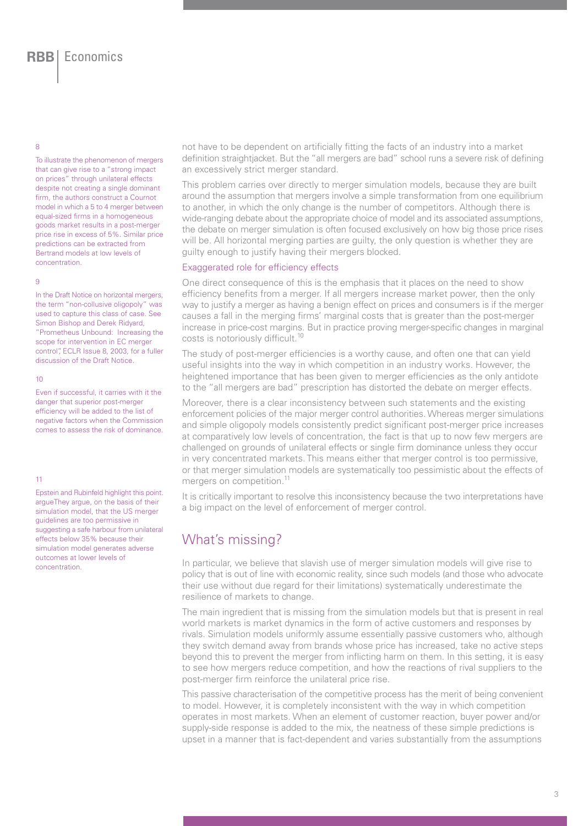8

To illustrate the phenomenon of mergers that can give rise to a "strong impact on prices" through unilateral effects despite not creating a single dominant firm, the authors construct a Cournot model in which a 5 to 4 merger between equal-sized firms in a homogeneous goods market results in a post-merger price rise in excess of 5%. Similar price predictions can be extracted from Bertrand models at low levels of concentration.

#### 9

In the Draft Notice on horizontal mergers, the term "non-collusive oligopoly" was used to capture this class of case. See Simon Bishop and Derek Ridyard, "Prometheus Unbound: Increasing the scope for intervention in EC merger control", ECLR Issue 8, 2003, for a fuller discussion of the Draft Notice.

#### 10

Even if successful, it carries with it the danger that superior post-merger efficiency will be added to the list of negative factors when the Commission comes to assess the risk of dominance.

#### 11

Epstein and Rubinfeld highlight this point. argueThey argue, on the basis of their simulation model, that the US merger guidelines are too permissive in suggesting a safe harbour from unilateral effects below 35% because their simulation model generates adverse outcomes at lower levels of concentration.

not have to be dependent on artificially fitting the facts of an industry into a market definition straightjacket. But the "all mergers are bad" school runs a severe risk of defining an excessively strict merger standard.

This problem carries over directly to merger simulation models, because they are built around the assumption that mergers involve a simple transformation from one equilibrium to another, in which the only change is the number of competitors. Although there is wide-ranging debate about the appropriate choice of model and its associated assumptions, the debate on merger simulation is often focused exclusively on how big those price rises will be. All horizontal merging parties are guilty, the only question is whether they are guilty enough to justify having their mergers blocked.

## Exaggerated role for efficiency effects

One direct consequence of this is the emphasis that it places on the need to show efficiency benefits from a merger. If all mergers increase market power, then the only way to justify a merger as having a benign effect on prices and consumers is if the merger causes a fall in the merging firms' marginal costs that is greater than the post-merger increase in price-cost margins. But in practice proving merger-specific changes in marginal costs is notoriously difficult.10

The study of post-merger efficiencies is a worthy cause, and often one that can yield useful insights into the way in which competition in an industry works. However, the heightened importance that has been given to merger efficiencies as the only antidote to the "all mergers are bad" prescription has distorted the debate on merger effects.

Moreover, there is a clear inconsistency between such statements and the existing enforcement policies of the major merger control authorities. Whereas merger simulations and simple oligopoly models consistently predict significant post-merger price increases at comparatively low levels of concentration, the fact is that up to now few mergers are challenged on grounds of unilateral effects or single firm dominance unless they occur in very concentrated markets. This means either that merger control is too permissive, or that merger simulation models are systematically too pessimistic about the effects of mergers on competition.<sup>11</sup>

It is critically important to resolve this inconsistency because the two interpretations have a big impact on the level of enforcement of merger control.

## What's missing?

In particular, we believe that slavish use of merger simulation models will give rise to policy that is out of line with economic reality, since such models (and those who advocate their use without due regard for their limitations) systematically underestimate the resilience of markets to change.

The main ingredient that is missing from the simulation models but that is present in real world markets is market dynamics in the form of active customers and responses by rivals. Simulation models uniformly assume essentially passive customers who, although they switch demand away from brands whose price has increased, take no active steps beyond this to prevent the merger from inflicting harm on them. In this setting, it is easy to see how mergers reduce competition, and how the reactions of rival suppliers to the post-merger firm reinforce the unilateral price rise.

This passive characterisation of the competitive process has the merit of being convenient to model. However, it is completely inconsistent with the way in which competition operates in most markets. When an element of customer reaction, buyer power and/or supply-side response is added to the mix, the neatness of these simple predictions is upset in a manner that is fact-dependent and varies substantially from the assumptions